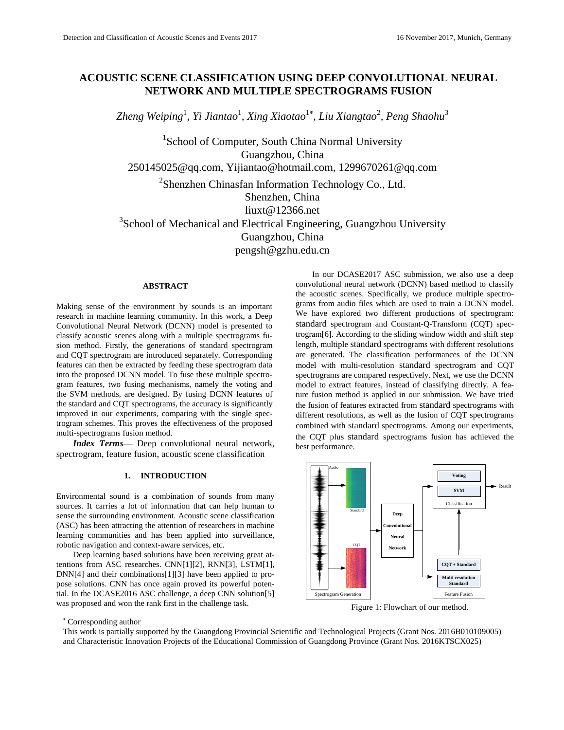# **ACOUSTIC SCENE CLASSIFICATION USING DEEP CONVOLUTIONAL NEURAL NETWORK AND MULTIPLE SPECTROGRAMS FUSION**

*Zheng Weiping*<sup>1</sup> *, Yi Jiantao*<sup>1</sup> *, Xing Xiaotao*<sup>1</sup> *, Liu Xiangtao*<sup>2</sup> *, Peng Shaohu*<sup>3</sup>

<sup>1</sup>School of Computer, South China Normal University Guangzhou, China [250145025@qq.com,](mailto:250145025@qq.com) [Yijiantao@hotmail.com,](mailto:Yijiantao@hotmail.com) [1299670261@qq.com](mailto:1299670261@qq.com) <sup>2</sup>Shenzhen Chinasfan Information Technology Co., Ltd. Shenzhen, China [liuxt@12366.net](mailto:liuxt@12366.net) <sup>3</sup>School of Mechanical and Electrical Engineering, Guangzhou University Guangzhou, China pengsh@gzhu.edu.cn

# **ABSTRACT**

Making sense of the environment by sounds is an important research in machine learning community. In this work, a Deep Convolutional Neural Network (DCNN) model is presented to classify acoustic scenes along with a multiple spectrograms fusion method. Firstly, the generations of standard spectrogram and CQT spectrogram are introduced separately. Corresponding features can then be extracted by feeding these spectrogram data into the proposed DCNN model. To fuse these multiple spectrogram features, two fusing mechanisms, namely the voting and the SVM methods, are designed. By fusing DCNN features of the standard and CQT spectrograms, the accuracy is significantly improved in our experiments, comparing with the single spectrogram schemes. This proves the effectiveness of the proposed multi-spectrograms fusion method.

*Index Terms—* Deep convolutional neural network, spectrogram, feature fusion, acoustic scene classification

# **1. INTRODUCTION**

Environmental sound is a combination of sounds from many sources. It carries a lot of information that can help human to sense the surrounding environment. Acoustic scene classification (ASC) has been attracting the attention of researchers in machine learning communities and has been applied into surveillance, robotic navigation and context-aware services, etc.

l Deep learning based solutions have been receiving great attentions from ASC researches. CN[N\[1\]\[2\],](#page-3-0) RN[N\[3\],](#page-4-0) LST[M\[1\],](#page-3-0) DN[N\[4\]](#page-4-1) and their combination[s\[1\]\[3\]](#page-3-0) have been applied to propose solutions. CNN has once again proved its powerful potential. In the DCASE2016 ASC challenge, a deep CNN solutio[n\[5\]](#page-4-2) was proposed and won the rank first in the challenge task.

In our DCASE2017 ASC submission, we also use a deep convolutional neural network (DCNN) based method to classify the acoustic scenes. Specifically, we produce multiple spectrograms from audio files which are used to train a DCNN model. We have explored two different productions of spectrogram: standard spectrogram and Constant-Q-Transform (CQT) spectrogra[m\[6\].](#page-4-3) According to the sliding window width and shift step length, multiple standard spectrograms with different resolutions are generated. The classification performances of the DCNN model with multi-resolution standard spectrogram and CQT spectrograms are compared respectively. Next, we use the DCNN model to extract features, instead of classifying directly. A feature fusion method is applied in our submission. We have tried the fusion of features extracted from standard spectrograms with different resolutions, as well as the fusion of CQT spectrograms combined with standard spectrograms. Among our experiments, the CQT plus standard spectrograms fusion has achieved the best performance.



Figure 1: Flowchart of our method.

This work is partially supported by the Guangdong Provincial Scientific and Technological Projects (Grant Nos. 2016B010109005) and Characteristic Innovation Projects of the Educational Commission of Guangdong Province (Grant Nos. 2016KTSCX025)

Corresponding author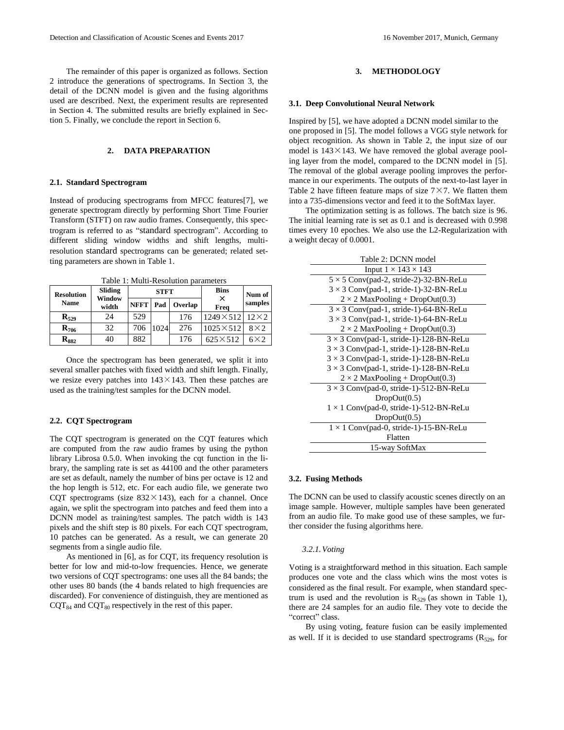The remainder of this paper is organized as follows. Section 2 introduce the generations of spectrograms. In Section 3, the detail of the DCNN model is given and the fusing algorithms used are described. Next, the experiment results are represented in Section 4. The submitted results are briefly explained in Section 5. Finally, we conclude the report in Section 6.

# **2. DATA PREPARATION**

### **2.1. Standard Spectrogram**

Instead of producing spectrograms from MFCC feature[s\[7\],](#page-4-4) we generate spectrogram directly by performing Short Time Fourier Transform (STFT) on raw audio frames. Consequently, this spectrogram is referred to as "standard spectrogram". According to different sliding window widths and shift lengths, multiresolution standard spectrograms can be generated; related setting parameters are shown in Table 1.

Table 1: Multi-Resolution parameters

| <b>Resolution</b>  | Sliding         | <b>STFT</b> |      |         | <b>Bins</b><br>$\times$ | Num of      |
|--------------------|-----------------|-------------|------|---------|-------------------------|-------------|
| <b>Name</b>        | Window<br>width | <b>NFFT</b> | Pad  | Overlap | Freq                    | samples     |
| $\mathbf{R}_{529}$ | 24              | 529         | 1024 | 176     | $1249 \times 512$       | $12\times2$ |
| $R_{706}$          | 32              | 706         |      | 276     | $1025 \times 512$       | $8\times2$  |
| $R_{882}$          | 40              | 882         |      | 176     | $625\times512$          | $6\times2$  |

Once the spectrogram has been generated, we split it into several smaller patches with fixed width and shift length. Finally, we resize every patches into  $143 \times 143$ . Then these patches are used as the training/test samples for the DCNN model.

# **2.2. CQT Spectrogram**

The CQT spectrogram is generated on the CQT features which are computed from the raw audio frames by using the python library Librosa 0.5.0. When invoking the cqt function in the library, the sampling rate is set as 44100 and the other parameters are set as default, namely the number of bins per octave is 12 and the hop length is 512, etc. For each audio file, we generate two CQT spectrograms (size  $832 \times 143$ ), each for a channel. Once again, we split the spectrogram into patches and feed them into a DCNN model as training/test samples. The patch width is 143 pixels and the shift step is 80 pixels. For each CQT spectrogram, 10 patches can be generated. As a result, we can generate 20 segments from a single audio file.

As mentioned in [\[6\],](#page-4-3) as for CQT, its frequency resolution is better for low and mid-to-low frequencies. Hence, we generate two versions of CQT spectrograms: one uses all the 84 bands; the other uses 80 bands (the 4 bands related to high frequencies are discarded). For convenience of distinguish, they are mentioned as  $CQT_{84}$  and  $CQT_{80}$  respectively in the rest of this paper.

# **3. METHODOLOGY**

### **3.1. Deep Convolutional Neural Network**

Inspired by [\[5\],](#page-4-2) we have adopted a DCNN model similar to the one proposed in [\[5\].](#page-4-2) The model follows a VGG style network for object recognition. As shown in Table 2, the input size of our model is  $143 \times 143$ . We have removed the global average pooling layer from the model, compared to the DCNN model in [\[5\].](#page-4-2)  The removal of the global average pooling improves the performance in our experiments. The outputs of the next-to-last layer in Table 2 have fifteen feature maps of size  $7 \times 7$ . We flatten them into a 735-dimensions vector and feed it to the SoftMax layer.

The optimization setting is as follows. The batch size is 96. The initial learning rate is set as 0.1 and is decreased with 0.998 times every 10 epoches. We also use the L2-Regularization with a weight decay of 0.0001.

| Table 2: DCNN model                            |
|------------------------------------------------|
| Input $1 \times 143 \times 143$                |
| $5 \times 5$ Conv(pad-2, stride-2)-32-BN-ReLu  |
| $3 \times 3$ Conv(pad-1, stride-1)-32-BN-ReLu  |
| $2 \times 2$ MaxPooling + DropOut(0.3)         |
| $3 \times 3$ Conv(pad-1, stride-1)-64-BN-ReLu  |
| $3 \times 3$ Conv(pad-1, stride-1)-64-BN-ReLu  |
| $2 \times 2$ MaxPooling + DropOut(0.3)         |
| $3 \times 3$ Conv(pad-1, stride-1)-128-BN-ReLu |
| $3 \times 3$ Conv(pad-1, stride-1)-128-BN-ReLu |
| $3 \times 3$ Conv(pad-1, stride-1)-128-BN-ReLu |
| $3 \times 3$ Conv(pad-1, stride-1)-128-BN-ReLu |
| $2 \times 2$ MaxPooling + DropOut(0.3)         |
| $3 \times 3$ Conv(pad-0, stride-1)-512-BN-ReLu |
| DropOut(0.5)                                   |
| $1 \times 1$ Conv(pad-0, stride-1)-512-BN-ReLu |
| DropOut(0.5)                                   |
| $1 \times 1$ Conv(pad-0, stride-1)-15-BN-ReLu  |
| Flatten                                        |
| 15-way SoftMax                                 |

### **3.2. Fusing Methods**

The DCNN can be used to classify acoustic scenes directly on an image sample. However, multiple samples have been generated from an audio file. To make good use of these samples, we further consider the fusing algorithms here.

#### *3.2.1.Voting*

Voting is a straightforward method in this situation. Each sample produces one vote and the class which wins the most votes is considered as the final result. For example, when standard spectrum is used and the revolution is  $R_{529}$  (as shown in Table 1), there are 24 samples for an audio file. They vote to decide the "correct" class.

By using voting, feature fusion can be easily implemented as well. If it is decided to use standard spectrograms  $(R_{529},$  for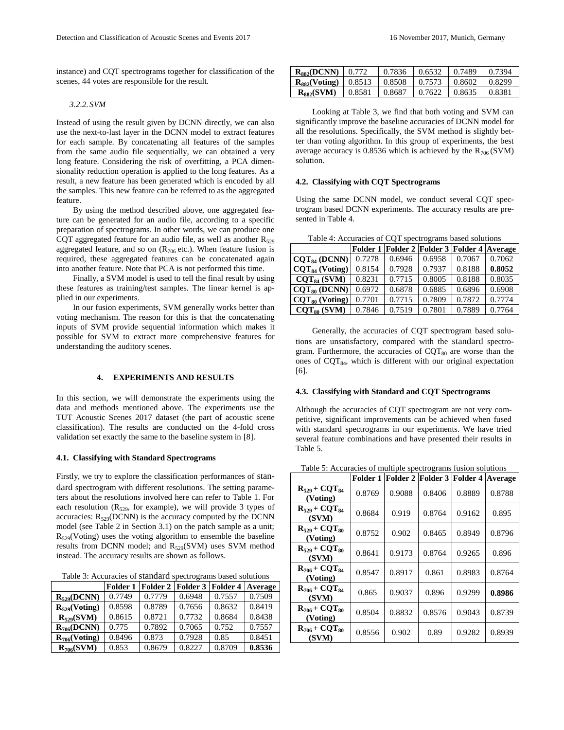instance) and CQT spectrograms together for classification of the scenes, 44 votes are responsible for the result.

### *3.2.2. SVM*

Instead of using the result given by DCNN directly, we can also use the next-to-last layer in the DCNN model to extract features for each sample. By concatenating all features of the samples from the same audio file sequentially, we can obtained a very long feature. Considering the risk of overfitting, a PCA dimensionality reduction operation is applied to the long features. As a result, a new feature has been generated which is encoded by all the samples. This new feature can be referred to as the aggregated feature.

By using the method described above, one aggregated feature can be generated for an audio file, according to a specific preparation of spectrograms. In other words, we can produce one CQT aggregated feature for an audio file, as well as another  $R_{529}$ aggregated feature, and so on  $(R_{706}$  etc.). When feature fusion is required, these aggregated features can be concatenated again into another feature. Note that PCA is not performed this time.

Finally, a SVM model is used to tell the final result by using these features as training/test samples. The linear kernel is applied in our experiments.

In our fusion experiments, SVM generally works better than voting mechanism. The reason for this is that the concatenating inputs of SVM provide sequential information which makes it possible for SVM to extract more comprehensive features for understanding the auditory scenes.

## **4. EXPERIMENTS AND RESULTS**

In this section, we will demonstrate the experiments using the data and methods mentioned above. The experiments use the TUT Acoustic Scenes 2017 dataset (the part of acoustic scene classification). The results are conducted on the 4-fold cross validation set exactly the same to the baseline system in [\[8\].](#page-4-5)

### **4.1. Classifying with Standard Spectrograms**

Firstly, we try to explore the classification performances of standard spectrogram with different resolutions. The setting parameters about the resolutions involved here can refer to Table 1. For each resolution  $(R_{529}$ , for example), we will provide 3 types of accuracies:  $R_{529}$ (DCNN) is the accuracy computed by the DCNN model (see Table 2 in Section 3.1) on the patch sample as a unit;  $R_{529}$ (Voting) uses the voting algorithm to ensemble the baseline results from DCNN model; and R<sub>529</sub>(SVM) uses SVM method instead. The accuracy results are shown as follows.

Table 3: Accuracies of standard spectrograms based solutions

|                    | Folder 1 | Folder 2 | Folder 3 | Folder 4 | Average |
|--------------------|----------|----------|----------|----------|---------|
| $R_{529}(DCNN)$    | 0.7749   | 0.7779   | 0.6948   | 0.7557   | 0.7509  |
| $R_{529}$ (Voting) | 0.8598   | 0.8789   | 0.7656   | 0.8632   | 0.8419  |
| $R_{529}(SVM)$     | 0.8615   | 0.8721   | 0.7732   | 0.8684   | 0.8438  |
| $R_{706} (DCNN)$   | 0.775    | 0.7892   | 0.7065   | 0.752    | 0.7557  |
| $R_{706}$ (Voting) | 0.8496   | 0.873    | 0.7928   | 0.85     | 0.8451  |
| $R_{706}(SVM)$     | 0.853    | 0.8679   | 0.8227   | 0.8709   | 0.8536  |

| $R_{882}(DCNN)$   0.772     |        | 0.7836 | 0.6532 | 0.7489  | 0.7394 |
|-----------------------------|--------|--------|--------|---------|--------|
| $R_{882}$ (Voting)   0.8513 |        | 0.8508 | 0.7573 | 10.8602 | 0.8299 |
| $R_{882}(SVM)$              | 0.8581 | 0.8687 | 0.7622 | 10.8635 | 0.8381 |

Looking at Table 3, we find that both voting and SVM can significantly improve the baseline accuracies of DCNN model for all the resolutions. Specifically, the SVM method is slightly better than voting algorithm. In this group of experiments, the best average accuracy is 0.8536 which is achieved by the  $R_{706}$  (SVM) solution.

### **4.2. Classifying with CQT Spectrograms**

Using the same DCNN model, we conduct several CQT spectrogram based DCNN experiments. The accuracy results are presented in Table 4.

Table 4: Accuracies of CQT spectrograms based solutions

|                          |        | Folder 1 Folder 2 Folder 3 Folder 4 Average |        |        |        |
|--------------------------|--------|---------------------------------------------|--------|--------|--------|
| CQT <sub>84</sub> (DCNN) | 0.7278 | 0.6946                                      | 0.6958 | 0.7067 | 0.7062 |
| $CQT84$ (Voting)         | 0.8154 | 0.7928                                      | 0.7937 | 0.8188 | 0.8052 |
| $CQT84$ (SVM)            | 0.8231 | 0.7715                                      | 0.8005 | 0.8188 | 0.8035 |
| $CQT80$ (DCNN)           | 0.6972 | 0.6878                                      | 0.6885 | 0.6896 | 0.6908 |
| $CQT80$ (Voting)         | 0.7701 | 0.7715                                      | 0.7809 | 0.7872 | 0.7774 |
| $CQT80$ (SVM)            | 0.7846 | 0.7519                                      | 0.7801 | 0.7889 | 0.7764 |

Generally, the accuracies of CQT spectrogram based solutions are unsatisfactory, compared with the standard spectrogram. Furthermore, the accuracies of  $CQT<sub>80</sub>$  are worse than the ones of  $CQT_{84}$ , which is different with our original expectation [\[6\].](#page-4-3)

### **4.3. Classifying with Standard and CQT Spectrograms**

Although the accuracies of CQT spectrogram are not very competitive, significant improvements can be achieved when fused with standard spectrograms in our experiments. We have tried several feature combinations and have presented their results in Table 5.

Table 5: Accuracies of multiple spectrograms fusion solutions

|                                           | Folder 1 | <b>Folder 2</b> | <b>Folder 3</b> | <b>Folder 4</b> | Average |
|-------------------------------------------|----------|-----------------|-----------------|-----------------|---------|
| $R_{529}$ + $COT_{84}$<br>(Voting)        | 0.8769   | 0.9088          | 0.8406          | 0.8889          | 0.8788  |
| $R_{529}$ + $COT_{84}$<br>(SVM)           | 0.8684   | 0.919           | 0.8764          | 0.9162          | 0.895   |
| $R_{529} + CQT_{80}$<br>(Voting)          | 0.8752   | 0.902           | 0.8465          | 0.8949          | 0.8796  |
| $R_{529} + CQT_{80}$<br>(SVM)             | 0.8641   | 0.9173          | 0.8764          | 0.9265          | 0.896   |
| $R_{706}$ + CQT <sub>84</sub><br>(Voting) | 0.8547   | 0.8917          | 0.861           | 0.8983          | 0.8764  |
| $R_{706}$ + CQT <sub>84</sub><br>(SVM)    | 0.865    | 0.9037          | 0.896           | 0.9299          | 0.8986  |
| $R_{706}$ + CQT <sub>80</sub><br>(Voting) | 0.8504   | 0.8832          | 0.8576          | 0.9043          | 0.8739  |
| $R_{706}$ + COT <sub>80</sub><br>(SVM)    | 0.8556   | 0.902           | 0.89            | 0.9282          | 0.8939  |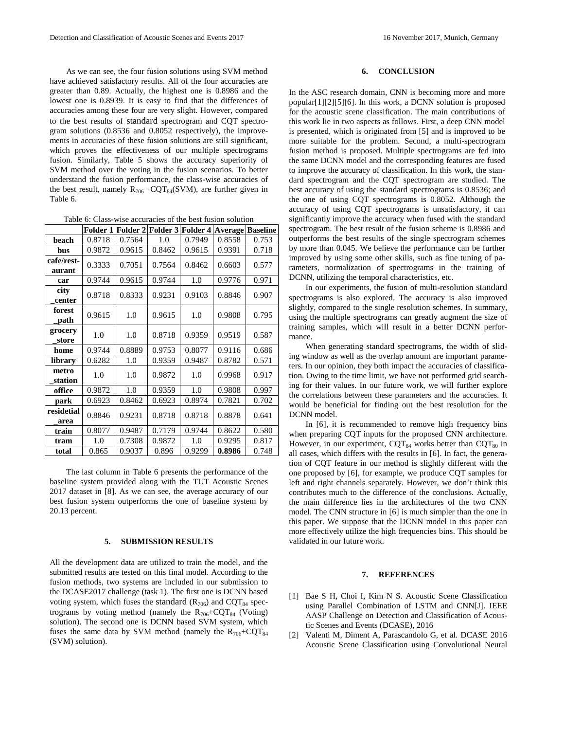As we can see, the four fusion solutions using SVM method have achieved satisfactory results. All of the four accuracies are greater than 0.89. Actually, the highest one is 0.8986 and the lowest one is 0.8939. It is easy to find that the differences of accuracies among these four are very slight. However, compared to the best results of standard spectrogram and CQT spectrogram solutions (0.8536 and 0.8052 respectively), the improvements in accuracies of these fusion solutions are still significant, which proves the effectiveness of our multiple spectrograms fusion. Similarly, Table 5 shows the accuracy superiority of SVM method over the voting in the fusion scenarios. To better understand the fusion performance, the class-wise accuracies of the best result, namely  $R_{706}$  +CQT<sub>84</sub>(SVM), are further given in Table 6.

Table 6: Class-wise accuracies of the best fusion solution

|                      | Folder 1 |        |        | Folder 2 Folder 3 Folder 4 Average Baseline |        |       |
|----------------------|----------|--------|--------|---------------------------------------------|--------|-------|
| beach                | 0.8718   | 0.7564 | 1.0    | 0.7949                                      | 0.8558 | 0.753 |
| bus                  | 0.9872   | 0.9615 | 0.8462 | 0.9615                                      | 0.9391 | 0.718 |
| cafe/rest-<br>aurant | 0.3333   | 0.7051 | 0.7564 | 0.8462                                      | 0.6603 | 0.577 |
| car                  | 0.9744   | 0.9615 | 0.9744 | 1.0                                         | 0.9776 | 0.971 |
| city<br>center       | 0.8718   | 0.8333 | 0.9231 | 0.9103                                      | 0.8846 | 0.907 |
| forest<br>path       | 0.9615   | 1.0    | 0.9615 | 1.0                                         | 0.9808 | 0.795 |
| grocery<br>store     | 1.0      | 1.0    | 0.8718 | 0.9359                                      | 0.9519 | 0.587 |
| home                 | 0.9744   | 0.8889 | 0.9753 | 0.8077                                      | 0.9116 | 0.686 |
| library              | 0.6282   | 1.0    | 0.9359 | 0.9487                                      | 0.8782 | 0.571 |
| metro<br>station     | 1.0      | 1.0    | 0.9872 | 1.0                                         | 0.9968 | 0.917 |
| office               | 0.9872   | 1.0    | 0.9359 | 1.0                                         | 0.9808 | 0.997 |
| park                 | 0.6923   | 0.8462 | 0.6923 | 0.8974                                      | 0.7821 | 0.702 |
| residetial<br>area   | 0.8846   | 0.9231 | 0.8718 | 0.8718                                      | 0.8878 | 0.641 |
| train                | 0.8077   | 0.9487 | 0.7179 | 0.9744                                      | 0.8622 | 0.580 |
| tram                 | 1.0      | 0.7308 | 0.9872 | 1.0                                         | 0.9295 | 0.817 |
| total                | 0.865    | 0.9037 | 0.896  | 0.9299                                      | 0.8986 | 0.748 |

The last column in Table 6 presents the performance of the baseline system provided along with the TUT Acoustic Scenes 2017 dataset in [\[8\].](#page-4-5) As we can see, the average accuracy of our best fusion system outperforms the one of baseline system by 20.13 percent.

### **5. SUBMISSION RESULTS**

All the development data are utilized to train the model, and the submitted results are tested on this final model. According to the fusion methods, two systems are included in our submission to the DCASE2017 challenge (task 1). The first one is DCNN based voting system, which fuses the standard  $(R_{706})$  and  $CQT_{84}$  spectrograms by voting method (namely the  $R_{706}$ +CQT<sub>84</sub> (Voting) solution). The second one is DCNN based SVM system, which fuses the same data by SVM method (namely the  $R_{706}$ +CQT<sub>84</sub> (SVM) solution).

# **6. CONCLUSION**

In the ASC research domain, CNN is becoming more and more popula[r\[1\]\[2\]](#page-3-0)[\[5\]\[6\].](#page-4-2) In this work, a DCNN solution is proposed for the acoustic scene classification. The main contributions of this work lie in two aspects as follows. First, a deep CNN model is presented, which is originated from [\[5\]](#page-4-2) and is improved to be more suitable for the problem. Second, a multi-spectrogram fusion method is proposed. Multiple spectrograms are fed into the same DCNN model and the corresponding features are fused to improve the accuracy of classification. In this work, the standard spectrogram and the CQT spectrogram are studied. The best accuracy of using the standard spectrograms is 0.8536; and the one of using CQT spectrograms is 0.8052. Although the accuracy of using CQT spectrograms is unsatisfactory, it can significantly improve the accuracy when fused with the standard spectrogram. The best result of the fusion scheme is 0.8986 and outperforms the best results of the single spectrogram schemes by more than 0.045. We believe the performance can be further improved by using some other skills, such as fine tuning of parameters, normalization of spectrograms in the training of DCNN, utilizing the temporal characteristics, etc.

In our experiments, the fusion of multi-resolution standard spectrograms is also explored. The accuracy is also improved slightly, compared to the single resolution schemes. In summary, using the multiple spectrograms can greatly augment the size of training samples, which will result in a better DCNN performance.

When generating standard spectrograms, the width of sliding window as well as the overlap amount are important parameters. In our opinion, they both impact the accuracies of classification. Owing to the time limit, we have not performed grid searching for their values. In our future work, we will further explore the correlations between these parameters and the accuracies. It would be beneficial for finding out the best resolution for the DCNN model.

In [\[6\],](#page-4-3) it is recommended to remove high frequency bins when preparing CQT inputs for the proposed CNN architecture. However, in our experiment,  $CQT_{84}$  works better than  $CQT_{80}$  in all cases, which differs with the results i[n \[6\].](#page-4-3) In fact, the generation of CQT feature in our method is slightly different with the one proposed by [\[6\],](#page-4-3) for example, we produce CQT samples for left and right channels separately. However, we don't think this contributes much to the difference of the conclusions. Actually, the main difference lies in the architectures of the two CNN model. The CNN structure i[n \[6\]](#page-4-3) is much simpler than the one in this paper. We suppose that the DCNN model in this paper can more effectively utilize the high frequencies bins. This should be validated in our future work.

# **7. REFERENCES**

- <span id="page-3-0"></span>[1] Bae S H, Choi I, Kim N S. Acoustic Scene Classification using Parallel Combination of LSTM and CNN[J]. IEEE AASP Challenge on Detection and Classification of Acoustic Scenes and Events (DCASE), 2016
- [2] Valenti M, Diment A, Parascandolo G, et al. DCASE 2016 Acoustic Scene Classification using Convolutional Neural